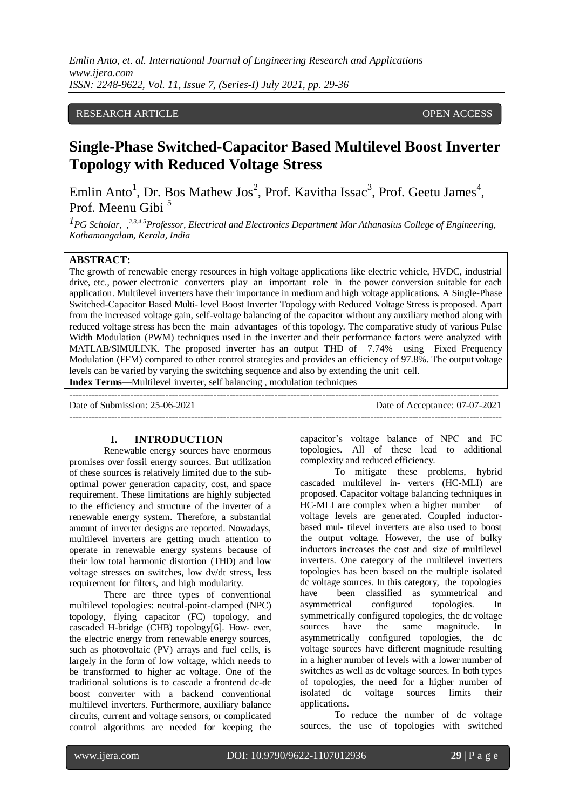*Emlin Anto, et. al. International Journal of Engineering Research and Applications www.ijera.com ISSN: 2248-9622, Vol. 11, Issue 7, (Series-I) July 2021, pp. 29-36*

# RESEARCH ARTICLE **OPEN ACCESS**

# **Single-Phase Switched-Capacitor Based Multilevel Boost Inverter Topology with Reduced Voltage Stress**

Emlin Anto<sup>1</sup>, Dr. Bos Mathew Jos<sup>2</sup>, Prof. Kavitha Issac<sup>3</sup>, Prof. Geetu James<sup>4</sup>, Prof. Meenu Gibi<sup>5</sup>

*1PG Scholar, ,2,3,4,5Professor, Electrical and Electronics Department Mar Athanasius College of Engineering, Kothamangalam, Kerala, India*

# **ABSTRACT:**

The growth of renewable energy resources in high voltage applications like electric vehicle, HVDC, industrial drive, etc., power electronic converters play an important role in the power conversion suitable for each application. Multilevel inverters have their importance in medium and high voltage applications. A Single-Phase Switched-Capacitor Based Multi- level Boost Inverter Topology with Reduced Voltage Stress is proposed. Apart from the increased voltage gain, self-voltage balancing of the capacitor without any auxiliary method along with reduced voltage stress has been the main advantages of this topology. The comparative study of various Pulse Width Modulation (PWM) techniques used in the inverter and their performance factors were analyzed with MATLAB/SIMULINK. The proposed inverter has an output THD of 7.74% using Fixed Frequency Modulation (FFM) compared to other control strategies and provides an efficiency of 97.8%. The output voltage levels can be varied by varying the switching sequence and also by extending the unit cell. **Index Terms—**Multilevel inverter, self balancing , modulation techniques

Date of Submission: 25-06-2021 Date of Acceptance: 07-07-2021 ---------------------------------------------------------------------------------------------------------------------------------------

--------------------------------------------------------------------------------------------------------------------------------------

## **I. INTRODUCTION**

Renewable energy sources have enormous promises over fossil energy sources. But utilization of these sources is relatively limited due to the suboptimal power generation capacity, cost, and space requirement. These limitations are highly subjected to the efficiency and structure of the inverter of a renewable energy system. Therefore, a substantial amount of inverter designs are reported. Nowadays, multilevel inverters are getting much attention to operate in renewable energy systems because of their low total harmonic distortion (THD) and low voltage stresses on switches, low dv/dt stress, less requirement for filters, and high modularity.

There are three types of conventional multilevel topologies: neutral-point-clamped (NPC) topology, flying capacitor (FC) topology, and cascaded H-bridge (CHB) topology[6]. How- ever, the electric energy from renewable energy sources, such as photovoltaic (PV) arrays and fuel cells, is largely in the form of low voltage, which needs to be transformed to higher ac voltage. One of the traditional solutions is to cascade a frontend dc-dc boost converter with a backend conventional multilevel inverters. Furthermore, auxiliary balance circuits, current and voltage sensors, or complicated control algorithms are needed for keeping the capacitor's voltage balance of NPC and FC topologies. All of these lead to additional complexity and reduced efficiency.

To mitigate these problems, hybrid cascaded multilevel in- verters (HC-MLI) are proposed. Capacitor voltage balancing techniques in HC-MLI are complex when a higher number of voltage levels are generated. Coupled inductorbased mul- tilevel inverters are also used to boost the output voltage. However, the use of bulky inductors increases the cost and size of multilevel inverters. One category of the multilevel inverters topologies has been based on the multiple isolated dc voltage sources. In this category, the topologies have been classified as symmetrical and asymmetrical configured topologies. In symmetrically configured topologies, the dc voltage<br>sources have the same magnitude. In sources have the same magnitude. In asymmetrically configured topologies, the dc voltage sources have different magnitude resulting in a higher number of levels with a lower number of switches as well as dc voltage sources. In both types of topologies, the need for a higher number of isolated dc voltage sources limits their applications.

To reduce the number of dc voltage sources, the use of topologies with switched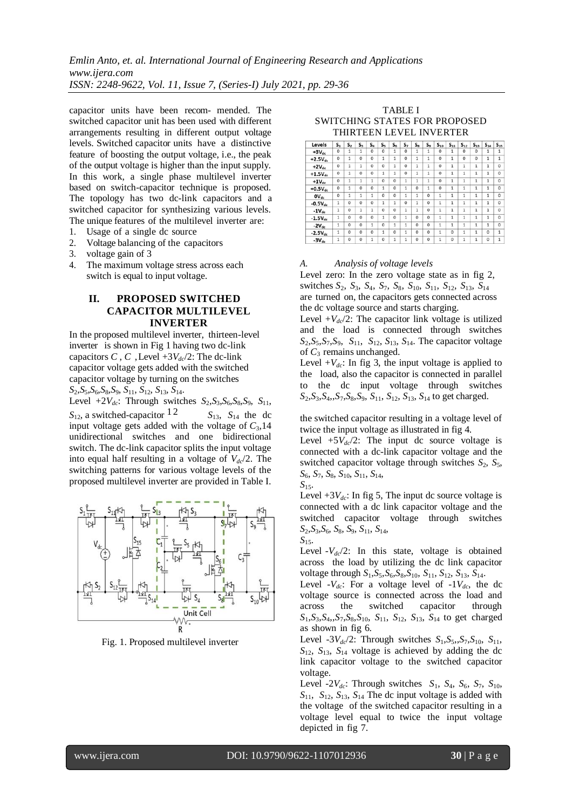*Emlin Anto, et. al. International Journal of Engineering Research and Applications www.ijera.com ISSN: 2248-9622, Vol. 11, Issue 7, (Series-I) July 2021, pp. 29-36*

capacitor units have been recom- mended. The switched capacitor unit has been used with different arrangements resulting in different output voltage levels. Switched capacitor units have a distinctive feature of boosting the output voltage, i.e., the peak of the output voltage is higher than the input supply. In this work, a single phase multilevel inverter based on switch-capacitor technique is proposed. The topology has two dc-link capacitors and a switched capacitor for synthesizing various levels. The unique features of the multilevel inverter are:

- 1. Usage of a single dc source
- 2. Voltage balancing of the capacitors
- 3. voltage gain of 3
- 4. The maximum voltage stress across each switch is equal to input voltage.

# **II. PROPOSED SWITCHED CAPACITOR MULTILEVEL INVERTER**

In the proposed multilevel inverter, thirteen-level inverter is shown in Fig 1 having two dc-link capacitors *C*, *C*, Level  $+3V_{dc}/2$ : The dc-link capacitor voltage gets added with the switched capacitor voltage by turning on the switches *S*2,*S*5,*S*6,*S*8,*S*9, *S*11, *S*12, *S*13, *S*14.

Level  $+2V_{dc}$ : Through switches  $S_2$ ,  $S_3$ ,  $S_6$ ,  $S_8$ ,  $S_9$ ,  $S_{11}$ ,  $S_{12}$ , a switched-capacitor <sup>12</sup>  $S_{13}$ ,  $S_{14}$  the dc input voltage gets added with the voltage of  $C_3$ , 14 unidirectional switches and one bidirectional switch. The dc-link capacitor splits the input voltage into equal half resulting in a voltage of *Vdc*/2. The switching patterns for various voltage levels of the proposed multilevel inverter are provided in Table I.



Fig. 1. Proposed multilevel inverter

TABLE I SWITCHING STATES FOR PROPOSED THIRTEEN LEVEL INVERTER

| Levels                              | $S_{1}$      | S2           | $S_3$          | $S_4$          | $S_{5}$      | $S_6$          | S,           | $S_{8}$      | $S_9$    | $S_{10}$     | $S_{11}$       | $S_{12}$     | $S_{13}$       | $S_{14}$     | $S_{15}$     |
|-------------------------------------|--------------|--------------|----------------|----------------|--------------|----------------|--------------|--------------|----------|--------------|----------------|--------------|----------------|--------------|--------------|
| $+3V_{dc}$                          | $\Omega$     | 1            | $\mathbf{1}$   | $\Omega$       | $\Omega$     | 1              | $\Omega$     | $\mathbf{1}$ | 1        | $\Omega$     | 1              | $\Omega$     | $\Omega$       | 1            | 1            |
| $+2.5V_{dc}$                        | $\circ$      | 1            | $\Omega$       | $\mathbf 0$    | $\mathbf{1}$ | 1              | $\theta$     | $\mathbf{1}$ | 1        | $\theta$     | 1              | $\Omega$     | $\theta$       | $\mathbf{1}$ | $\mathbf{1}$ |
| $+2V_{dc}$                          | $\Omega$     | 1            | 1              | $\Omega$       | $\Omega$     | $\mathbf{1}$   | $\circ$      | $\mathbf{1}$ | 1        | $\Omega$     | $\overline{1}$ | $\mathbf{1}$ | 1              | 1            | 0            |
| $+1.5V_{dc}$                        | $\Omega$     | $\mathbf{1}$ | $\Omega$       | $\Omega$       | 1            | 1              | $\theta$     | 1            | 1        | $\Omega$     | 1              | 1            | $\mathbf{1}$   | 1            | 0            |
| $+1V_{dc}$                          | $\circ$      | $\mathbf{1}$ | $\mathbf{1}$   | $\mathbf{1}$   | $\mathbf 0$  | $\Omega$       | $\mathbf{1}$ | $\mathbf{1}$ | 1        | $\mathbf 0$  | $\mathbf{1}$   | $\mathbf{1}$ | $\mathbf{1}$   | 1            | 0            |
| $+0.5V_{dc}$                        | $\Omega$     | 1            | $\Omega$       | $\Omega$       | $\mathbf{1}$ | $\Omega$       | 1            | $\Omega$     | 1        | $\Omega$     | $\mathbf{1}$   | $\mathbf{1}$ | 1              | 1            | $\Omega$     |
| $\mathbf{O} \mathbf{V}_{\text{dc}}$ | $\circ$      | $\mathbf{1}$ | $\mathbf{1}$   | $\mathbf{1}$   | $\mathbf{0}$ | 0              | 1            | $\mathbf{1}$ | 0        | 1            | $\mathbf{1}$   | $\mathbf{1}$ | 1              | 1            | 0            |
| $-0.5V_{dc}$                        | $\mathbf{1}$ | $\Omega$     | $\overline{0}$ | $\Omega$       | $\mathbf{1}$ | $\mathbf{1}$   | $\theta$     | $\mathbf{1}$ | 0        | $\mathbf{1}$ | $\mathbf{1}$   | 1            | $\mathbf{1}$   | 1            | 0            |
| $-1V_{dc}$                          | $\mathbf{1}$ | $\Omega$     | $\mathbf{1}$   | $\mathbf{1}$   | $\Omega$     | $\Omega$       | $\mathbf{1}$ | $\mathbf{1}$ | 0        | $\mathbf{1}$ | $\mathbf{1}$   | $\mathbf{1}$ | $\overline{1}$ | 1            | 0            |
| $-1.5V_{dc}$                        | 1            | $\Omega$     | $\Omega$       | $\Omega$       | $\mathbf{1}$ | $\Omega$       | 1            | $\Omega$     | 0        | $\mathbf{1}$ | $\overline{1}$ | $\mathbf{1}$ | $\mathbf{1}$   | $\mathbf{1}$ | $\Omega$     |
| $-2V_{\text{dc}}$                   | $\mathbf{1}$ | $\Omega$     | $\Omega$       | $\overline{1}$ | $\Omega$     | $\overline{1}$ | $\mathbf{1}$ | 0            | $\Omega$ | $\mathbf{1}$ | $\overline{1}$ | $\mathbf{1}$ | $\mathbf{1}$   | $\mathbf{1}$ | 0            |
| $-2.5V_{dc}$                        | $\mathbf{1}$ | $\Omega$     | $\Omega$       | $\Omega$       | $\mathbf{1}$ | $\mathbf 0$    | 1            | $\Omega$     | 0        | $\mathbf{1}$ | $\Omega$       | $\mathbf{1}$ | $\mathbf{1}$   | $\Omega$     | 1            |
| $-3V_{dc}$                          | 1            | $\theta$     | $\Omega$       | 1              | $\Omega$     | $\mathbf{1}$   | 1            | $\Omega$     | $\Omega$ | $\mathbf{1}$ | $\Omega$       | 1            | 1              | $\Omega$     | $\mathbf{1}$ |

#### *A. Analysis of voltage levels*

Level zero: In the zero voltage state as in fig 2, switches *S*2, *S*3, *S*4, *S*7, *S*8, *S*10, *S*11, *S*12, *S*13, *S*<sup>14</sup> are turned on, the capacitors gets connected across the dc voltage source and starts charging.

Level  $+V_{dc}/2$ : The capacitor link voltage is utilized and the load is connected through switches  $S_2$ , $S_5$ , $S_7$ , $S_9$ ,  $S_{11}$ ,  $S_{12}$ ,  $S_{13}$ ,  $S_{14}$ . The capacitor voltage of *C*<sup>3</sup> remains unchanged.

Level  $+V_{dc}$ : In fig 3, the input voltage is applied to the load, also the capacitor is connected in parallel to the dc input voltage through switches *S*2,*S*3,*S*4,,*S*7,*S*8,*S*9, *S*11, *S*12, *S*13, *S*<sup>14</sup> to get charged.

the switched capacitor resulting in a voltage level of twice the input voltage as illustrated in fig 4.

Level  $+5V_{dc}/2$ : The input dc source voltage is connected with a dc-link capacitor voltage and the switched capacitor voltage through switches  $S_2$ ,  $S_5$ , *S*6, *S*7, *S*8, *S*10, *S*11, *S*14, *S*15.

Level  $+3V_{dc}$ : In fig 5, The input dc source voltage is connected with a dc link capacitor voltage and the switched capacitor voltage through switches *S*2,*S*3,*S*6, *S*8, *S*9, *S*11, *S*14,

*S*15. Level  $-V_{dc}/2$ : In this state, voltage is obtained across the load by utilizing the dc link capacitor voltage through *S*1,*S*5,*S*6,*S*8,*S*10, *S*11, *S*12, *S*13, *S*14.

Level  $-V_{dc}$ : For a voltage level of  $-1V_{dc}$ , the dc voltage source is connected across the load and across the switched capacitor through  $S_1, S_3, S_4, S_7, S_8, S_{10}, S_{11}, S_{12}, S_{13}, S_{14}$  to get charged as shown in fig 6.

Level  $-3V_{dc}/2$ : Through switches  $S_1, S_5, S_7, S_{10}, S_{11}$ ,  $S_{12}$ ,  $S_{13}$ ,  $S_{14}$  voltage is achieved by adding the dc link capacitor voltage to the switched capacitor voltage.

Level  $-2V_{dc}$ : Through switches  $S_1$ ,  $S_4$ ,  $S_6$ ,  $S_7$ ,  $S_{10}$ ,  $S_{11}$ ,  $S_{12}$ ,  $S_{13}$ ,  $S_{14}$  The dc input voltage is added with the voltage of the switched capacitor resulting in a voltage level equal to twice the input voltage depicted in fig 7.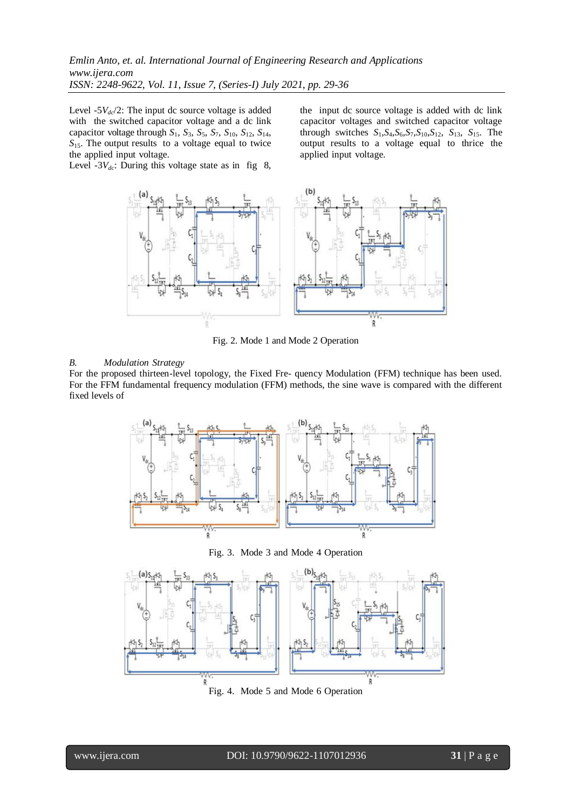Level  $-5V_{dc}/2$ : The input dc source voltage is added with the switched capacitor voltage and a dc link capacitor voltage through  $S_1$ ,  $S_3$ ,  $S_5$ ,  $S_7$ ,  $S_{10}$ ,  $S_{12}$ ,  $S_{14}$ ,  $S<sub>15</sub>$ . The output results to a voltage equal to twice the applied input voltage.

Level  $-3V_{dc}$ : During this voltage state as in fig 8,

the input dc source voltage is added with dc link capacitor voltages and switched capacitor voltage through switches  $S_1$ ,  $S_4$ ,  $S_6$ ,  $S_7$ ,  $S_{10}$ ,  $S_{12}$ ,  $S_{13}$ ,  $S_{15}$ . The output results to a voltage equal to thrice the applied input voltage.



Fig. 2. Mode 1 and Mode 2 Operation

#### *B. Modulation Strategy*

For the proposed thirteen-level topology, the Fixed Fre- quency Modulation (FFM) technique has been used. For the FFM fundamental frequency modulation (FFM) methods, the sine wave is compared with the different fixed levels of



Fig. 3. Mode 3 and Mode 4 Operation



Fig. 4. Mode 5 and Mode 6 Operation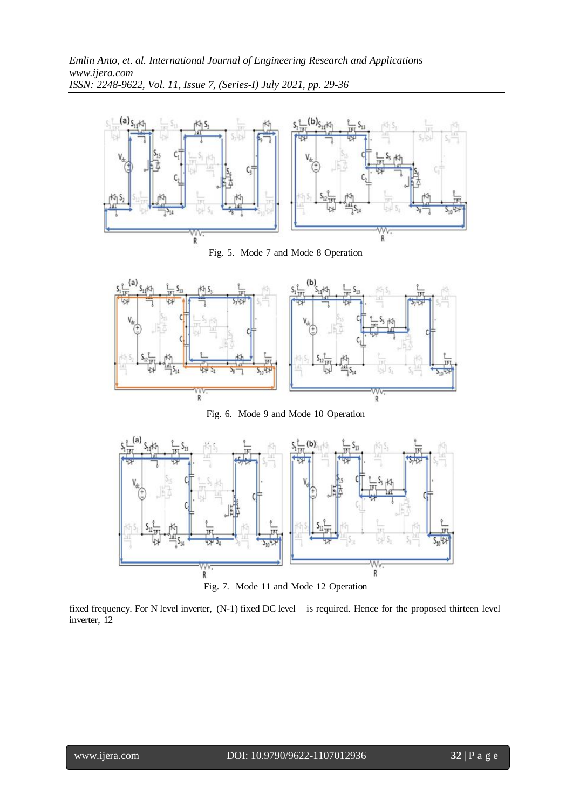

Fig. 5. Mode 7 and Mode 8 Operation



Fig. 6. Mode 9 and Mode 10 Operation



Fig. 7. Mode 11 and Mode 12 Operation

fixed frequency. For N level inverter, (N-1) fixed DC level is required. Hence for the proposed thirteen level inverter, 12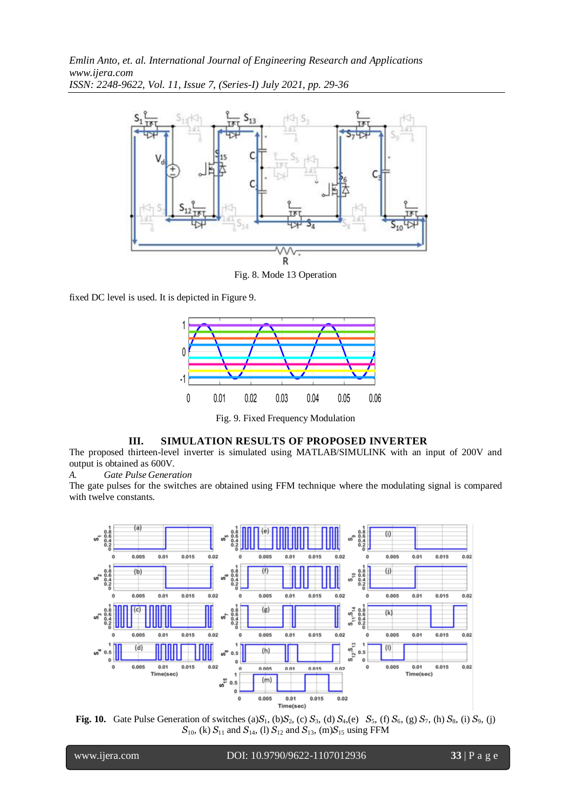*Emlin Anto, et. al. International Journal of Engineering Research and Applications www.ijera.com ISSN: 2248-9622, Vol. 11, Issue 7, (Series-I) July 2021, pp. 29-36*



Fig. 8. Mode 13 Operation

fixed DC level is used. It is depicted in Figure 9.



Fig. 9. Fixed Frequency Modulation

# **III. SIMULATION RESULTS OF PROPOSED INVERTER**

The proposed thirteen-level inverter is simulated using MATLAB/SIMULINK with an input of 200V and output is obtained as 600V.

*A. Gate Pulse Generation*

The gate pulses for the switches are obtained using FFM technique where the modulating signal is compared with twelve constants.



**Fig. 10.** Gate Pulse Generation of switches (a) $S_1$ , (b) $S_2$ , (c)  $S_3$ , (d)  $S_4$ ,(e)  $S_5$ , (f)  $S_6$ , (g)  $S_7$ , (h)  $S_8$ , (i)  $S_9$ , (j)  $S_{10}$ , (k)  $S_{11}$  and  $S_{14}$ , (l)  $S_{12}$  and  $S_{13}$ , (m) $S_{15}$  using FFM

l

www.ijera.com DOI: 10.9790/9622-1107012936 **33** | P a g e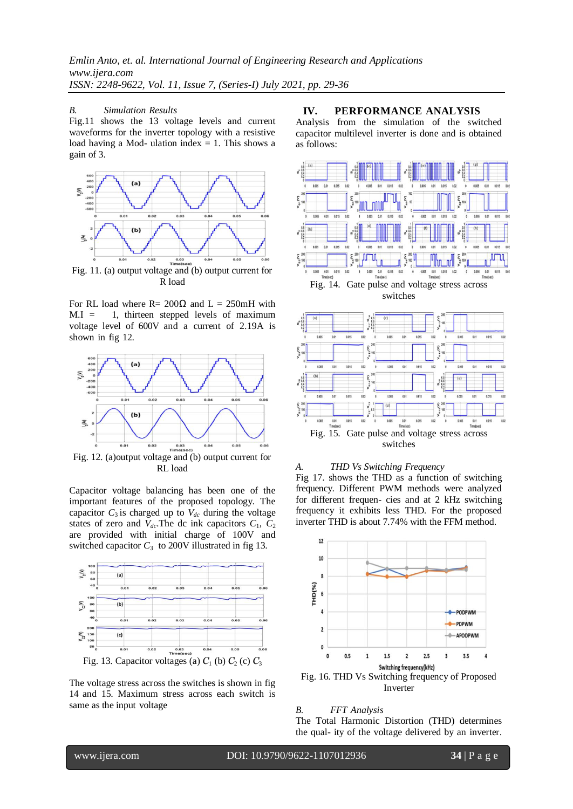#### *B. Simulation Results*

Fig.11 shows the 13 voltage levels and current waveforms for the inverter topology with a resistive load having a Mod- ulation index  $= 1$ . This shows a gain of 3.



Fig. 11. (a) output voltage and (b) output current for R load

For RL load where R=  $200\Omega$  and L =  $250$ mH with  $M.I = 1$ , thirteen stepped levels of maximum voltage level of 600V and a current of 2.19A is shown in fig 12.



RL load

Capacitor voltage balancing has been one of the important features of the proposed topology. The capacitor  $C_3$  is charged up to  $V_{dc}$  during the voltage states of zero and  $V_{dc}$ . The dc ink capacitors  $C_1$ ,  $C_2$ are provided with initial charge of 100V and switched capacitor  $C_3$  to 200V illustrated in fig 13.



The voltage stress across the switches is shown in fig 14 and 15. Maximum stress across each switch is same as the input voltage

# **IV. PERFORMANCE ANALYSIS**

Analysis from the simulation of the switched capacitor multilevel inverter is done and is obtained as follows:



Fig. 14. Gate pulse and voltage stress across switches



## *A. THD Vs Switching Frequency*

Fig 17. shows the THD as a function of switching frequency. Different PWM methods were analyzed for different frequen- cies and at 2 kHz switching frequency it exhibits less THD. For the proposed inverter THD is about 7.74% with the FFM method.



Fig. 16. THD Vs Switching frequency of Proposed Inverter

#### *B. FFT Analysis*

The Total Harmonic Distortion (THD) determines the qual- ity of the voltage delivered by an inverter.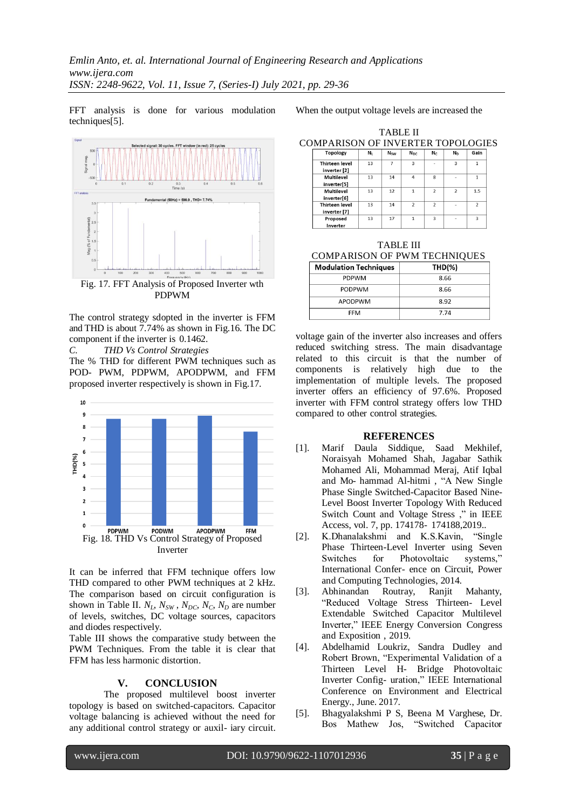FFT analysis is done for various modulation techniques[5].



PDPWM

The control strategy sdopted in the inverter is FFM and THD is about 7.74% as shown in Fig.16. The DC component if the inverter is 0.1462.

*C. THD Vs Control Strategies*

The % THD for different PWM techniques such as POD- PWM, PDPWM, APODPWM, and FFM proposed inverter respectively is shown in Fig.17.



It can be inferred that FFM technique offers low THD compared to other PWM techniques at 2 kHz. The comparison based on circuit configuration is shown in Table II.  $N_L$ ,  $N_{SW}$ ,  $N_{DC}$ ,  $N_C$ ,  $N_D$  are number of levels, switches, DC voltage sources, capacitors and diodes respectively.

Table III shows the comparative study between the PWM Techniques. From the table it is clear that FFM has less harmonic distortion.

#### **V. CONCLUSION**

The proposed multilevel boost inverter topology is based on switched-capacitors. Capacitor voltage balancing is achieved without the need for any additional control strategy or auxil- iary circuit.

When the output voltage levels are increased the

| COMPARISON OF INVERTER TOPOLOGIES     |    |            |                 |                          |                          |                |  |
|---------------------------------------|----|------------|-----------------|--------------------------|--------------------------|----------------|--|
| <b>Topology</b>                       | N, | <b>Nsw</b> | N <sub>DC</sub> | $N_c$                    | N <sub>D</sub>           | Gain           |  |
| <b>Thirteen level</b><br>inverter [2] | 13 | 7          | 3               |                          | 3                        | 1              |  |
| Multilevel<br>inverter[5]             | 13 | 14         | $\overline{a}$  | ×                        |                          |                |  |
| Multilevel<br>inverter[6]             | 13 | 12         |                 | $\overline{\phantom{a}}$ | $\overline{\phantom{a}}$ | 1.5            |  |
| Thirteen level<br>inverter [7]        | 13 | 14         | $\mathfrak{p}$  | $\overline{\phantom{a}}$ |                          | $\mathfrak{p}$ |  |
| Proposed<br><b>Louis Contractor</b>   | 13 | 17         |                 | 3                        |                          | 3              |  |

TABLE II

TABLE III COMPARISON OF PWM TECHNIQUES

| <b>Modulation Techniques</b> | <b>THD(%)</b> |
|------------------------------|---------------|
| <b>PDPWM</b>                 | 8.66          |
| <b>PODPWM</b>                | 8.66          |
| APODPWM                      | 8.92          |
| FFM                          | 7.74          |

voltage gain of the inverter also increases and offers reduced switching stress. The main disadvantage related to this circuit is that the number of components is relatively high due to the implementation of multiple levels. The proposed inverter offers an efficiency of 97.6%. Proposed inverter with FFM control strategy offers low THD compared to other control strategies.

#### **REFERENCES**

- [1]. Marif Daula Siddique, Saad Mekhilef, Noraisyah Mohamed Shah, Jagabar Sathik Mohamed Ali, Mohammad Meraj, Atif Iqbal and Mo- hammad Al-hitmi , "A New Single Phase Single Switched-Capacitor Based Nine-Level Boost Inverter Topology With Reduced Switch Count and Voltage Stress ," in IEEE Access, vol. 7, pp. 174178- 174188,2019..
- [2]. K.Dhanalakshmi and K.S.Kavin, "Single Phase Thirteen-Level Inverter using Seven Switches for Photovoltaic systems," International Confer- ence on Circuit, Power and Computing Technologies, 2014.
- [3]. Abhinandan Routray, Ranjit Mahanty, "Reduced Voltage Stress Thirteen- Level Extendable Switched Capacitor Multilevel Inverter," IEEE Energy Conversion Congress and Exposition , 2019.
- [4]. Abdelhamid Loukriz, Sandra Dudley and Robert Brown, "Experimental Validation of a Thirteen Level H- Bridge Photovoltaic Inverter Config- uration," IEEE International Conference on Environment and Electrical Energy., June. 2017.
- [5]. Bhagyalakshmi P S, Beena M Varghese, Dr. Bos Mathew Jos, "Switched Capacitor